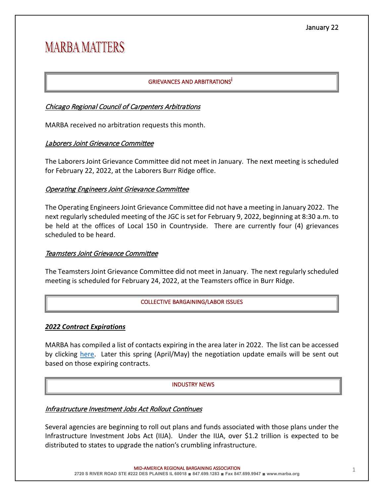# **MARBA MATTERS**

# GRIEVANCES AND ARBITRATIONS<sup>İ</sup>

# Chicago Regional Council of Carpenters Arbitrations

MARBA received no arbitration requests this month.

# Laborers Joint Grievance Commitee

The Laborers Joint Grievance Committee did not meet in January. The next meeting is scheduled for February 22, 2022, at the Laborers Burr Ridge office.

## **Operating Engineers Joint Grievance Committee**

The Operating Engineers Joint Grievance Committee did not have a meeting in January 2022. The next regularly scheduled meeting of the JGC is set for February 9, 2022, beginning at 8:30 a.m. to be held at the offices of Local 150 in Countryside. There are currently four (4) grievances scheduled to be heard.

## Teamsters Joint Grievance Commitee

The Teamsters Joint Grievance Committee did not meet in January. The next regularly scheduled meeting is scheduled for February 24, 2022, at the Teamsters office in Burr Ridge.

#### COLLECTIVE BARGAINING/LABOR ISSUES

## *2022 Contract Expirations*

MARBA has compiled a list of contacts expiring in the area later in 2022. The list can be accessed by clicking [here.](https://www.marba.org/_files/ugd/46cc69_0d471baa38d34e8486246894184251bb.pdf) Later this spring (April/May) the negotiation update emails will be sent out based on those expiring contracts.

#### INDUSTRY NEWS

## Infrastructure Investment Jobs Act Rollout Continues

Several agencies are beginning to roll out plans and funds associated with those plans under the Infrastructure Investment Jobs Act (IIJA). Under the IIJA, over \$1.2 trillion is expected to be distributed to states to upgrade the nation's crumbling infrastructure.

MID-AMERICA REGIONAL BARGAINING ASSOCIATION **And a struck of the struck of the struck of the struck of the struck of the struck of the struck of the struck of the struck of the struck of the struck of the struck of the str** 

**2720 S RIVER ROAD STE #222 DES PLAINES IL 60018** ∎ **847.699.1283** ∎ **Fax 847.699.9947** ∎ **www.marba.org**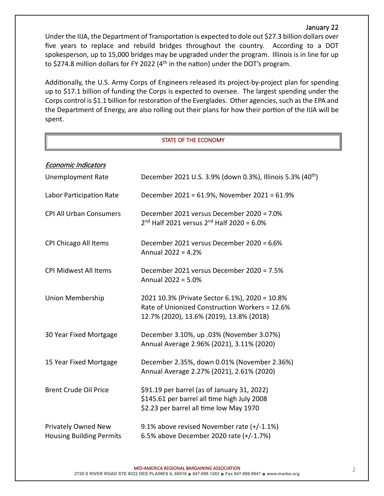## January 22

Under the IIJA, the Department of Transportation is expected to dole out \$27.3 billion dollars over five years to replace and rebuild bridges throughout the country. According to a DOT spokesperson, up to 15,000 bridges may be upgraded under the program. Illinois is in line for up to \$274.8 million dollars for FY 2022 ( $4<sup>th</sup>$  in the nation) under the DOT's program.

Additionally, the U.S. Army Corps of Engineers released its project-by-project plan for spending up to \$17.1 billion of funding the Corps is expected to oversee. The largest spending under the Corps control is \$1.1 billion for restoration of the Everglades. Other agencies, such as the EPA and the Department of Energy, are also rolling out their plans for how their portion of the IIJA will be spent.

#### STATE OF THE ECONOMY

| <b>Economic Indicators</b>                             |                                                                                                                                              |
|--------------------------------------------------------|----------------------------------------------------------------------------------------------------------------------------------------------|
| <b>Unemployment Rate</b>                               | December 2021 U.S. 3.9% (down 0.3%), Illinois 5.3% (40 <sup>th</sup> )                                                                       |
| Labor Participation Rate                               | December 2021 = 61.9%, November 2021 = 61.9%                                                                                                 |
| <b>CPI All Urban Consumers</b>                         | December 2021 versus December 2020 = 7.0%<br>$2^{nd}$ Half 2021 versus $2^{nd}$ Half 2020 = 6.0%                                             |
| CPI Chicago All Items                                  | December 2021 versus December 2020 = 6.6%<br>Annual 2022 = 4.2%                                                                              |
| <b>CPI Midwest All Items</b>                           | December 2021 versus December 2020 = 7.5%<br>Annual 2022 = 5.0%                                                                              |
| Union Membership                                       | 2021 10.3% (Private Sector 6.1%), 2020 = 10.8%<br>Rate of Unionized Construction Workers = 12.6%<br>12.7% (2020), 13.6% (2019), 13.8% (2018) |
| 30 Year Fixed Mortgage                                 | December 3.10%, up .03% (November 3.07%)<br>Annual Average 2.96% (2021), 3.11% (2020)                                                        |
| 15 Year Fixed Mortgage                                 | December 2.35%, down 0.01% (November 2.36%)<br>Annual Average 2.27% (2021), 2.61% (2020)                                                     |
| <b>Brent Crude Oil Price</b>                           | \$91.19 per barrel (as of January 31, 2022)<br>\$145.61 per barrel all time high July 2008<br>\$2.23 per barrel all time low May 1970        |
| Privately Owned New<br><b>Housing Building Permits</b> | 9.1% above revised November rate (+/-1.1%)<br>6.5% above December 2020 rate (+/-1.7%)                                                        |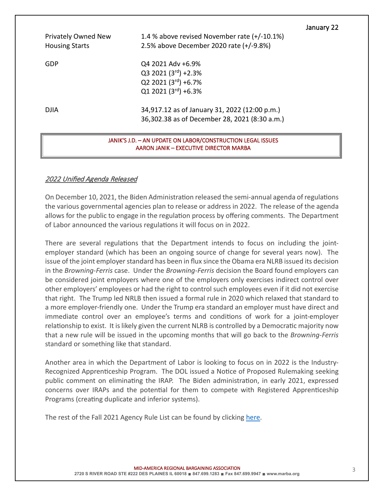January 22 Privately Owned New 1.4 % above revised November rate (+/-10.1%) Housing Starts 2.5% above December 2020 rate (+/-9.8%) GDP Q4 2021 Adv +6.9%  $Q3 2021 (3<sup>rd</sup>) + 2.3%$  $Q2 2021 (3<sup>rd</sup>) +6.7%$  $Q1 2021 (3<sup>rd</sup>) +6.3%$ DJIA 34,917.12 as of January 31, 2022 (12:00 p.m.) 36,302.38 as of December 28, 2021 (8:30 a.m.)

#### JANIK'S J.D. – AN UPDATE ON LABOR/CONSTRUCTION LEGAL ISSUES AARON JANIK – EXECUTIVE DIRECTOR MARBA

# 2022 Unified Agenda Released

On December 10, 2021, the Biden Administration released the semi-annual agenda of regulations the various governmental agencies plan to release or address in 2022. The release of the agenda allows for the public to engage in the regulation process by offering comments. The Department of Labor announced the various regulations it will focus on in 2022.

There are several regulations that the Department intends to focus on including the jointemployer standard (which has been an ongoing source of change for several years now). The issue of the joint employer standard has been in flux since the Obama era NLRB issued its decision in the *Browning-Ferris* case. Under the *Browning-Ferris* decision the Board found employers can be considered joint employers where one of the employers only exercises indirect control over other employers' employees or had the right to control such employees even if it did not exercise that right. The Trump led NRLB then issued a formal rule in 2020 which relaxed that standard to a more employer-friendly one. Under the Trump era standard an employer must have direct and immediate control over an employee's terms and conditions of work for a joint-employer relationship to exist. It is likely given the current NLRB is controlled by a Democratic majority now that a new rule will be issued in the upcoming months that will go back to the *Browning-Ferris* standard or something like that standard.

Another area in which the Department of Labor is looking to focus on in 2022 is the Industry-Recognized Apprenticeship Program. The DOL issued a Notice of Proposed Rulemaking seeking public comment on eliminating the IRAP. The Biden administration, in early 2021, expressed concerns over IRAPs and the potential for them to compete with Registered Apprenticeship Programs (creating duplicate and inferior systems).

The rest of the Fall 2021 Agency Rule List can be found by clicking [here.](https://www.reginfo.gov/public/do/eAgendaMain?operation=OPERATION_GET_AGENCY_RULE_LIST¤tPub=true&agencyCode=&showStage=active&agencyCd=1200&csrf_token=0B73374FCE56C3BF32F3BD2E0C265F8DD21F4F36E85FE49DBFB3791FD92047B115FBE5C0F795C20E8350E757E964CBAE5785)